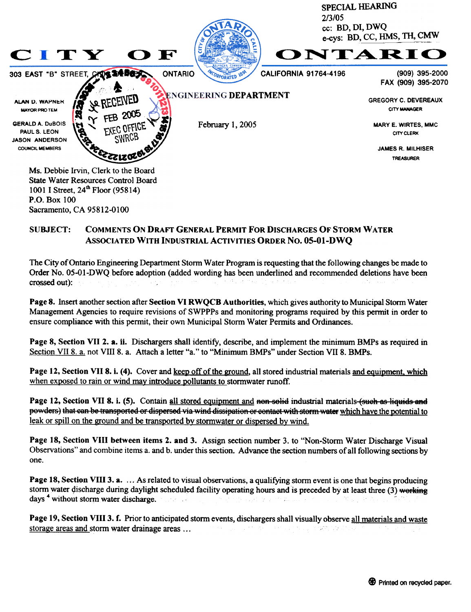

## COMMENTS ON DRAFf GENERAL PERMIT FOR DISCHARGES OF STORM WATER ASSOCIATED WITH INDUSTRIAL ACTIVITIES ORDER No. 05-01-DWQ SUBJECT:

Sacramento, CA 95812-0100

The City of Ontario Engineering Department Stonn Water Program is requesting that the following changes be made to Order No. 05-01-DWO before adoption (added wording has been underlined and recommended deletions have been crossed out):

Page 8. Insert another section after Section VI RWQCB Authorities, which gives authority to Municipal Storm Water Management Agencies to require revisions of SWPPPs and monitoring programs required by this permit in order to ensure compliance with this permit, their own Municipal Storm Water Permits and Ordinances.

Page 8, Section VII 2. a. ii. Dischargers shall identify, describe, and implement the minimum BMPs as required in Section VII 8. a. not VIII 8. a. Attach a letter "a." to "Minimum BMPs" under Section VII 8. BMPs.

Page 12, Section VII 8. i. (4). Cover and keep off of the ground, all stored industrial materials and equipment, which when exposed to rain or wind may introduce pollutants to stormwater runoff.

Page 12, Section VII 8. i. (5). Contain all stored equipment and non-solid industrial materials (such as liquids and powders) that can be transported or dispersed via wind dissipation or contact with storm water which have the potential to leak or spill on the ground and be transported by stormwater or dispersed by wind.

Page 18, Section VIII between items 2. and 3. Assign section number 3. to "Non-Storm Water Discharge Visual Observations" and combine items a. and b. under this section. Advance the section numbers of all following sections by one.

**Page 18, Section VIII 3. a.** ... As related to visual observations, a qualifying storm event is one that begins producing storm water discharge during daylight scheduled facility operating hours and is preceded by at least three (3) working days <sup>4</sup> without storm water discharge.

Page 19, Section VIII 3. f. Prior to anticipated storm events, dischargers shall visually observe all materials and waste storage areas and storm water drainage areas... ステーム こうせい 春日 こもり いいかい こうそばき なない